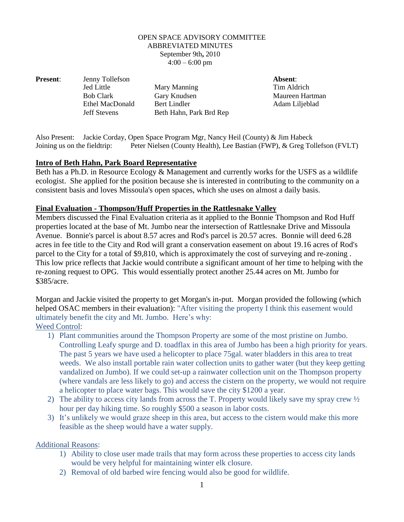#### OPEN SPACE ADVISORY COMMITTEE ABBREVIATED MINUTES September 9th**,** 2010  $4:00 - 6:00$  pm

**Present:** Jenny Tollefson **Absent:** Absent:

Jed Little Mary Manning Tim Aldrich Bob Clark Gary Knudsen Maureen Hartman Ethel MacDonald Bert Lindler Adam Liljeblad Jeff Stevens Beth Hahn, Park Brd Rep

Also Present: Jackie Corday, Open Space Program Mgr, Nancy Heil (County) & Jim Habeck Joining us on the fieldtrip: Peter Nielsen (County Health), Lee Bastian (FWP), & Greg Tollefson (FVLT)

### **Intro of Beth Hahn, Park Board Representative**

Beth has a Ph.D. in Resource Ecology & Management and currently works for the USFS as a wildlife ecologist. She applied for the position because she is interested in contributing to the community on a consistent basis and loves Missoula's open spaces, which she uses on almost a daily basis.

### **Final Evaluation - Thompson/Huff Properties in the Rattlesnake Valley**

Members discussed the Final Evaluation criteria as it applied to the Bonnie Thompson and Rod Huff properties located at the base of Mt. Jumbo near the intersection of Rattlesnake Drive and Missoula Avenue. Bonnie's parcel is about 8.57 acres and Rod's parcel is 20.57 acres. Bonnie will deed 6.28 acres in fee title to the City and Rod will grant a conservation easement on about 19.16 acres of Rod's parcel to the City for a total of \$9,810, which is approximately the cost of surveying and re-zoning . This low price reflects that Jackie would contribute a significant amount of her time to helping with the re-zoning request to OPG. This would essentially protect another 25.44 acres on Mt. Jumbo for \$385/acre.

Morgan and Jackie visited the property to get Morgan's in-put. Morgan provided the following (which helped OSAC members in their evaluation): "After visiting the property I think this easement would ultimately benefit the city and Mt. Jumbo. Here's why:

# Weed Control:

- 1) Plant communities around the Thompson Property are some of the most pristine on Jumbo. Controlling Leafy spurge and D. toadflax in this area of Jumbo has been a high priority for years. The past 5 years we have used a helicopter to place 75gal. water bladders in this area to treat weeds. We also install portable rain water collection units to gather water (but they keep getting vandalized on Jumbo). If we could set-up a rainwater collection unit on the Thompson property (where vandals are less likely to go) and access the cistern on the property, we would not require a helicopter to place water bags. This would save the city \$1200 a year.
- 2) The ability to access city lands from across the T. Property would likely save my spray crew ½ hour per day hiking time. So roughly \$500 a season in labor costs.
- 3) It's unlikely we would graze sheep in this area, but access to the cistern would make this more feasible as the sheep would have a water supply.

Additional Reasons:

- 1) Ability to close user made trails that may form across these properties to access city lands would be very helpful for maintaining winter elk closure.
- 2) Removal of old barbed wire fencing would also be good for wildlife.